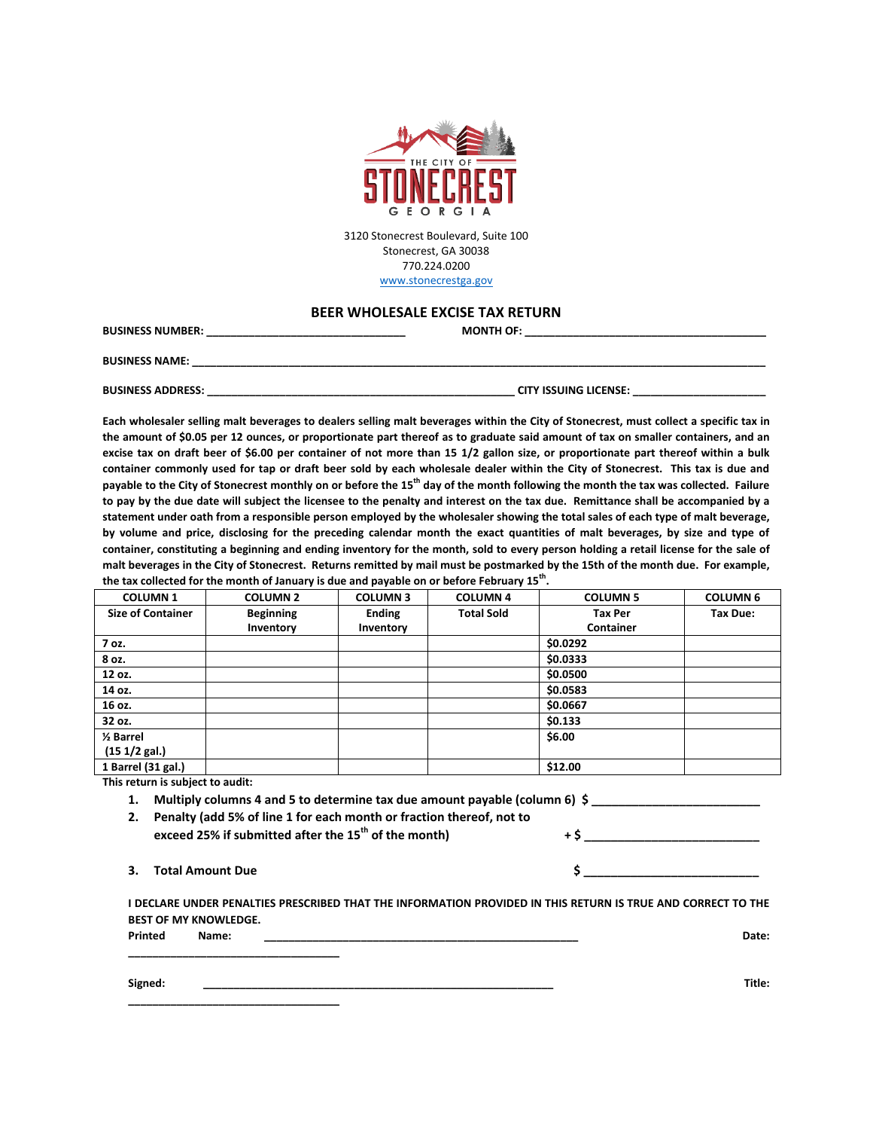

3120 Stonecrest Boulevard, Suite 100 Stonecrest, GA 30038 770.224.0200 [www.stonecrestga.gov](http://www.stonecrestga.gov/)

## **BEER WHOLESALE EXCISE TAX RETURN**

| BUSINESS NUMBER:         | <b>MONTH OF:</b>             |
|--------------------------|------------------------------|
| <b>BUSINESS NAME:</b>    |                              |
| <b>BUSINESS ADDRESS:</b> | <b>CITY ISSUING LICENSE:</b> |

**Each wholesaler selling malt beverages to dealers selling malt beverages within the City of Stonecrest, must collect a specific tax in the amount of \$0.05 per 12 ounces, or proportionate part thereof as to graduate said amount of tax on smaller containers, and an excise tax on draft beer of \$6.00 per container of not more than 15 1/2 gallon size, or proportionate part thereof within a bulk container commonly used for tap or draft beer sold by each wholesale dealer within the City of Stonecrest. This tax is due and payable to the City of Stonecrest monthly on or before the 15th day of the month following the month the tax was collected. Failure to pay by the due date will subject the licensee to the penalty and interest on the tax due. Remittance shall be accompanied by a statement under oath from a responsible person employed by the wholesaler showing the total sales of each type of malt beverage, by volume and price, disclosing for the preceding calendar month the exact quantities of malt beverages, by size and type of container, constituting a beginning and ending inventory for the month, sold to every person holding a retail license for the sale of malt beverages in the City of Stonecrest. Returns remitted by mail must be postmarked by the 15th of the month due. For example, the tax collected for the month of January is due and payable on or before February 15th .**

| <b>COLUMN1</b>           | <b>COLUMN 2</b>  | <b>COLUMN3</b> | <b>COLUMN 4</b>   | <b>COLUMN 5</b> | <b>COLUMN 6</b> |
|--------------------------|------------------|----------------|-------------------|-----------------|-----------------|
| <b>Size of Container</b> | <b>Beginning</b> | <b>Ending</b>  | <b>Total Sold</b> | <b>Tax Per</b>  | Tax Due:        |
|                          | Inventory        | Inventory      |                   | Container       |                 |
| 7 oz.                    |                  |                |                   | \$0.0292        |                 |
| 8 oz.                    |                  |                |                   | \$0.0333        |                 |
| 12 oz.                   |                  |                |                   | \$0.0500        |                 |
| 14 oz.                   |                  |                |                   | \$0.0583        |                 |
| 16 oz.                   |                  |                |                   | \$0.0667        |                 |
| 32 oz.                   |                  |                |                   | \$0.133         |                 |
| 1/ <sub>2</sub> Barrel   |                  |                |                   | \$6.00          |                 |
| (151/2 gal.)             |                  |                |                   |                 |                 |
| 1 Barrel (31 gal.)       |                  |                |                   | \$12.00         |                 |

**This return is subject to audit:**

**1. Multiply columns 4 and 5 to determine tax due amount payable (column 6) \$ \_\_\_\_\_\_\_\_\_\_\_\_\_\_\_\_\_\_\_\_\_\_\_\_\_**

**2. Penalty (add 5% of line 1 for each month or fraction thereof, not to exceed 25% if submitted after the 15th of the month) + \$ \_\_\_\_\_\_\_\_\_\_\_\_\_\_\_\_\_\_\_\_\_\_\_\_\_\_**

| 3. Total Amount Due |  |
|---------------------|--|
|                     |  |

**\_\_\_\_\_\_\_\_\_\_\_\_\_\_\_\_\_\_\_\_\_\_\_\_\_\_\_\_\_\_\_\_\_\_\_**

|         |                              | I DECLARE UNDER PENALTIES PRESCRIBED THAT THE INFORMATION PROVIDED IN THIS RETURN IS TRUE AND CORRECT TO THE |  |  |  |       |
|---------|------------------------------|--------------------------------------------------------------------------------------------------------------|--|--|--|-------|
|         | <b>BEST OF MY KNOWLEDGE.</b> |                                                                                                              |  |  |  |       |
| Printed | Name:                        |                                                                                                              |  |  |  | Date: |

**\_\_\_\_\_\_\_\_\_\_\_\_\_\_\_\_\_\_\_\_\_\_\_\_\_\_\_\_\_\_\_\_\_\_\_**

**Signed: \_\_\_\_\_\_\_\_\_\_\_\_\_\_\_\_\_\_\_\_\_\_\_\_\_\_\_\_\_\_\_\_\_\_\_\_\_\_\_\_\_\_\_\_\_\_\_\_\_\_\_\_\_\_\_\_\_\_ Title:**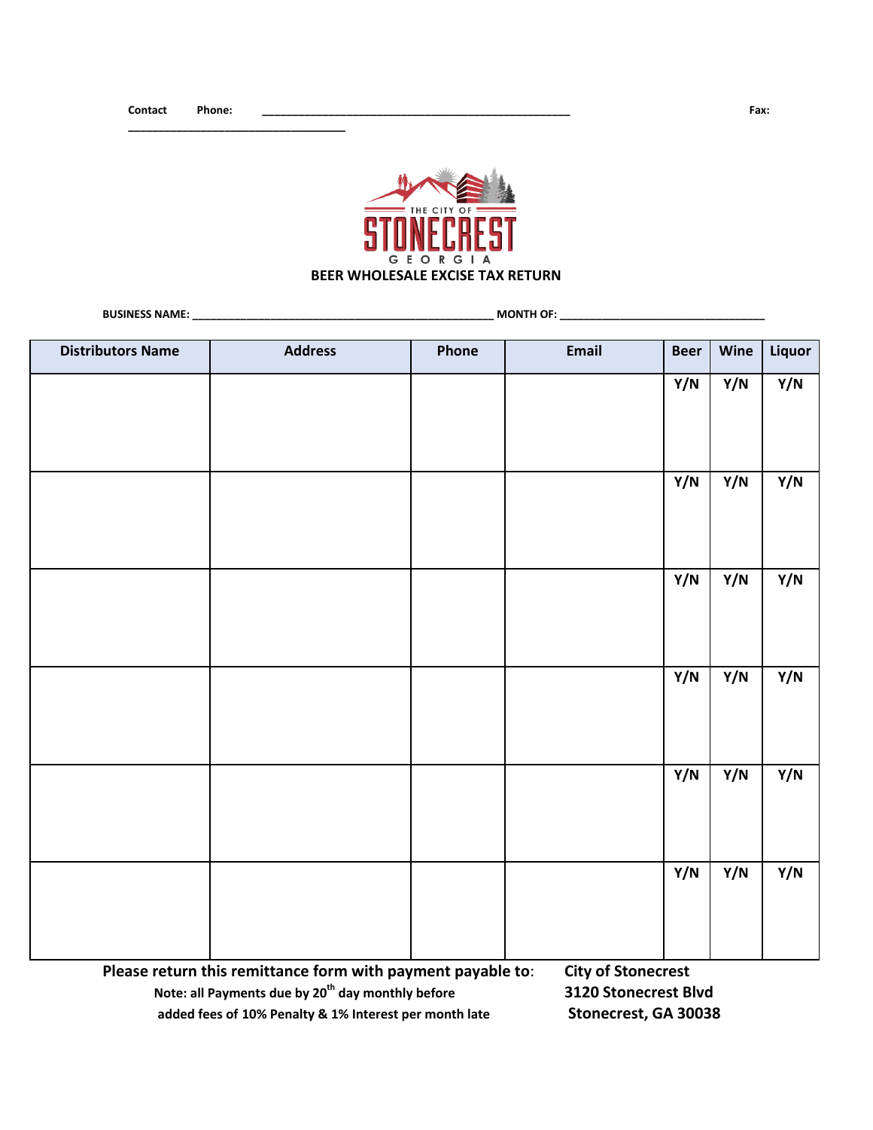**\_\_\_\_\_\_\_\_\_\_\_\_\_\_\_\_\_\_\_\_\_\_\_\_\_\_\_\_\_\_\_\_\_\_\_\_**



**BUSINESS NAME: BUSINESS NAME:** 

| <b>Distributors Name</b> | <b>Address</b> | Phone | Email | <b>Beer</b> | Wine | Liquor           |
|--------------------------|----------------|-------|-------|-------------|------|------------------|
|                          |                |       |       | Y/N         | Y/N  | Y/N              |
|                          |                |       |       |             |      |                  |
|                          |                |       |       |             |      |                  |
|                          |                |       |       |             |      |                  |
|                          |                |       |       | Y/N         | Y/N  | $\overline{Y/N}$ |
|                          |                |       |       |             |      |                  |
|                          |                |       |       |             |      |                  |
|                          |                |       |       | Y/N         | Y/N  | Y/N              |
|                          |                |       |       |             |      |                  |
|                          |                |       |       |             |      |                  |
|                          |                |       |       |             |      |                  |
|                          |                |       |       | Y/N         | Y/N  | Y/N              |
|                          |                |       |       |             |      |                  |
|                          |                |       |       |             |      |                  |
|                          |                |       |       |             |      |                  |
|                          |                |       |       | Y/N         | Y/N  | Y/N              |
|                          |                |       |       |             |      |                  |
|                          |                |       |       |             |      |                  |
|                          |                |       |       |             |      |                  |
|                          |                |       |       | Y/N         | Y/N  | Y/N              |
|                          |                |       |       |             |      |                  |
|                          |                |       |       |             |      |                  |
|                          |                |       |       |             |      |                  |

**Please return this remittance form with payment payable to**: **City of Stonecrest Note: all Payments due by 20th day monthly before 3120 Stonecrest Blvd added fees of 10% Penalty & 1% Interest per month late Stonecrest, GA 30038**